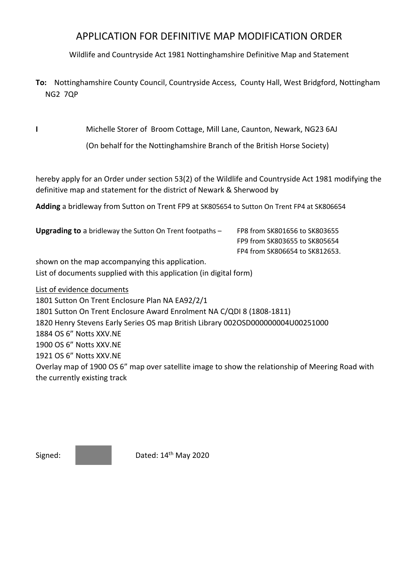## APPLICATION FOR DEFINITIVE MAP MODIFICATION ORDER

Wildlife and Countryside Act 1981 Nottinghamshire Definitive Map and Statement

**To:** Nottinghamshire County Council, Countryside Access, County Hall, West Bridgford, Nottingham NG2 7QP

**I** Michelle Storer of Broom Cottage, Mill Lane, Caunton, Newark, NG23 6AJ

(On behalf for the Nottinghamshire Branch of the British Horse Society)

hereby apply for an Order under section 53(2) of the Wildlife and Countryside Act 1981 modifying the definitive map and statement for the district of Newark & Sherwood by

**Adding** a bridleway from Sutton on Trent FP9 at SK805654 to Sutton On Trent FP4 at SK806654

**Upgrading to** a bridleway the Sutton On Trent footpaths - FP8 from SK801656 to SK803655 FP9 from SK803655 to SK805654 FP4 from SK806654 to SK812653. shown on the map accompanying this application. List of documents supplied with this application (in digital form) List of evidence documents 1801 Sutton On Trent Enclosure Plan NA EA92/2/1 1801 Sutton On Trent Enclosure Award Enrolment NA C/QDI 8 (1808-1811) 1820 Henry Stevens Early Series OS map British Library 002OSD000000004U00251000 1884 OS 6" Notts XXV.NE 1900 OS 6" Notts XXV.NE 1921 OS 6" Notts XXV.NE Overlay map of 1900 OS 6" map over satellite image to show the relationship of Meering Road with the currently existing track

Signed: **Dated:** 14<sup>th</sup> May 2020